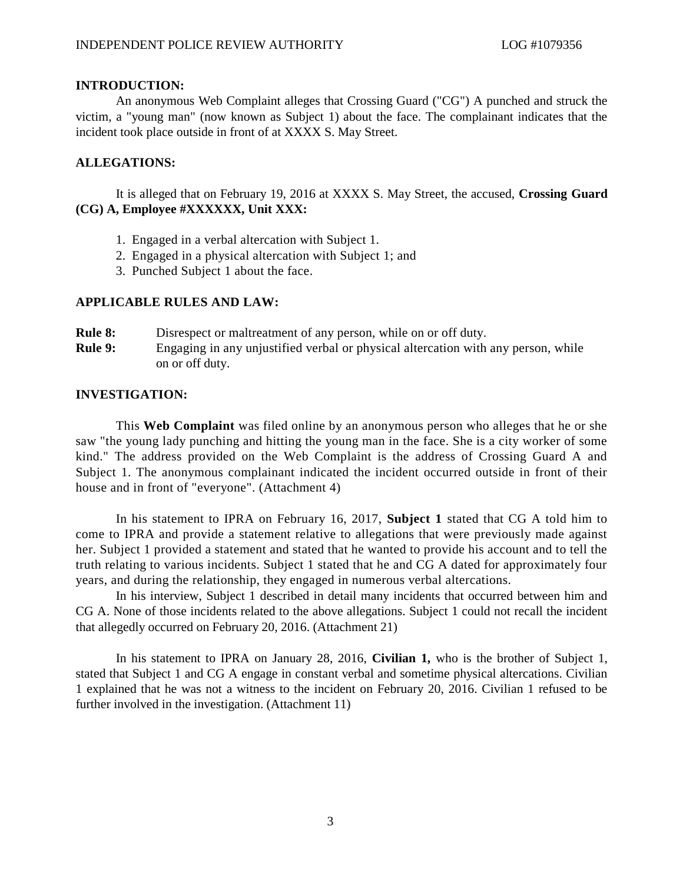## **INTRODUCTION:**

An anonymous Web Complaint alleges that Crossing Guard ("CG") A punched and struck the victim, a "young man" (now known as Subject 1) about the face. The complainant indicates that the incident took place outside in front of at XXXX S. May Street.

# **ALLEGATIONS:**

It is alleged that on February 19, 2016 at XXXX S. May Street, the accused, **Crossing Guard (CG) A, Employee #XXXXXX, Unit XXX:**

- 1. Engaged in a verbal altercation with Subject 1.
- 2. Engaged in a physical altercation with Subject 1; and
- 3. Punched Subject 1 about the face.

## **APPLICABLE RULES AND LAW:**

| <b>Rule 8:</b> | Disrespect or maltreatment of any person, while on or off duty.                   |
|----------------|-----------------------------------------------------------------------------------|
| <b>Rule 9:</b> | Engaging in any unjustified verbal or physical altercation with any person, while |
|                | on or off duty.                                                                   |

## **INVESTIGATION:**

This **Web Complaint** was filed online by an anonymous person who alleges that he or she saw "the young lady punching and hitting the young man in the face. She is a city worker of some kind." The address provided on the Web Complaint is the address of Crossing Guard A and Subject 1. The anonymous complainant indicated the incident occurred outside in front of their house and in front of "everyone". (Attachment 4)

In his statement to IPRA on February 16, 2017, **Subject 1** stated that CG A told him to come to IPRA and provide a statement relative to allegations that were previously made against her. Subject 1 provided a statement and stated that he wanted to provide his account and to tell the truth relating to various incidents. Subject 1 stated that he and CG A dated for approximately four years, and during the relationship, they engaged in numerous verbal altercations.

In his interview, Subject 1 described in detail many incidents that occurred between him and CG A. None of those incidents related to the above allegations. Subject 1 could not recall the incident that allegedly occurred on February 20, 2016. (Attachment 21)

In his statement to IPRA on January 28, 2016, **Civilian 1,** who is the brother of Subject 1, stated that Subject 1 and CG A engage in constant verbal and sometime physical altercations. Civilian 1 explained that he was not a witness to the incident on February 20, 2016. Civilian 1 refused to be further involved in the investigation. (Attachment 11)